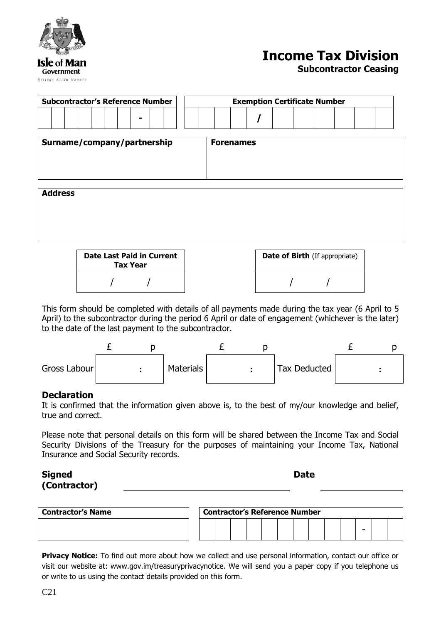|                      |            | STABIT |  |
|----------------------|------------|--------|--|
| <b>Isle of Man</b>   | Government |        |  |
| Reiltys Ellan Vannin |            |        |  |

## **Income Tax Division**

**Subcontractor Ceasing**

| <b>Subcontractor's Reference Number</b> |  |  |  |  |  |                  |  |  | <b>Exemption Certificate Number</b> |  |  |  |  |  |  |  |  |  |  |
|-----------------------------------------|--|--|--|--|--|------------------|--|--|-------------------------------------|--|--|--|--|--|--|--|--|--|--|
|                                         |  |  |  |  |  | -                |  |  |                                     |  |  |  |  |  |  |  |  |  |  |
| Surname/company/partnership             |  |  |  |  |  | <b>Forenames</b> |  |  |                                     |  |  |  |  |  |  |  |  |  |  |
| <b>Address</b>                          |  |  |  |  |  |                  |  |  |                                     |  |  |  |  |  |  |  |  |  |  |
|                                         |  |  |  |  |  |                  |  |  |                                     |  |  |  |  |  |  |  |  |  |  |
|                                         |  |  |  |  |  |                  |  |  |                                     |  |  |  |  |  |  |  |  |  |  |

| Date Last Paid in Current<br><b>Tax Year</b> |  | <b>Date of Birth</b> (If appropriate) |
|----------------------------------------------|--|---------------------------------------|
|                                              |  |                                       |

This form should be completed with details of all payments made during the tax year (6 April to 5 April) to the subcontractor during the period 6 April or date of engagement (whichever is the later) to the date of the last payment to the subcontractor.



## **Declaration**

It is confirmed that the information given above is, to the best of my/our knowledge and belief, true and correct.

Please note that personal details on this form will be shared between the Income Tax and Social Security Divisions of the Treasury for the purposes of maintaining your Income Tax, National Insurance and Social Security records.

## **Signed (Contractor)**

| ٧<br>M.<br>۰. |
|---------------|
|---------------|

| <b>Contractor's Name</b> | <b>Contractor's Reference Number</b> |  |  |  |  |  |  |  |  |  |  |   |  |  |
|--------------------------|--------------------------------------|--|--|--|--|--|--|--|--|--|--|---|--|--|
|                          |                                      |  |  |  |  |  |  |  |  |  |  | - |  |  |

**Privacy Notice:** To find out more about how we collect and use personal information, contact our office or visit our website at: www.gov.im/treasuryprivacynotice. We will send you a paper copy if you telephone us or write to us using the contact details provided on this form.